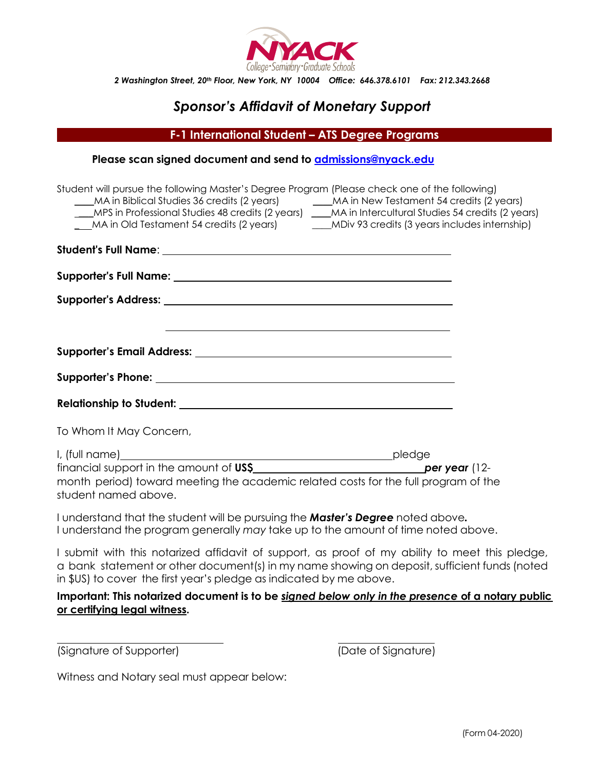

*2 Washington Street, 20th Floor, New York, NY 10004 Office: 646.378.6101 Fax: 212.343.2668*

# *Sponsor's Affidavit of Monetary Support*

**F-1 International Student – ATS Degree Programs**

| Please scan signed document and send to admissions@nyack.edu |  |
|--------------------------------------------------------------|--|
|--------------------------------------------------------------|--|

| Student will pursue the following Master's Degree Program (Please check one of the following)<br>MA in Biblical Studies 36 credits (2 years) MA in New Testament 54 credits (2 years)<br>___MPS in Professional Studies 48 credits (2 years) ___MA in Intercultural Studies 54 credits (2 years)<br>MA in Old Testament 54 credits (2 years) MDiv 93 credits (3 years includes internship) |  |
|--------------------------------------------------------------------------------------------------------------------------------------------------------------------------------------------------------------------------------------------------------------------------------------------------------------------------------------------------------------------------------------------|--|
|                                                                                                                                                                                                                                                                                                                                                                                            |  |
|                                                                                                                                                                                                                                                                                                                                                                                            |  |
|                                                                                                                                                                                                                                                                                                                                                                                            |  |
| <u> 1989 - Johann Stoff, amerikansk politiker (d. 1989)</u>                                                                                                                                                                                                                                                                                                                                |  |
|                                                                                                                                                                                                                                                                                                                                                                                            |  |
|                                                                                                                                                                                                                                                                                                                                                                                            |  |
| To Whom It May Concern,                                                                                                                                                                                                                                                                                                                                                                    |  |
| month period) toward meeting the academic related costs for the full program of the<br>student named above.                                                                                                                                                                                                                                                                                |  |
| I understand that the student will be pursuing the <b>Master's Degree</b> noted above.<br>I understand the program generally may take up to the amount of time noted above.                                                                                                                                                                                                                |  |
| I submit with this notarized affidavit of support, as proof of my ability to meet this pledge,<br>a bank statement or other document(s) in my name showing on deposit, sufficient funds (noted<br>in \$US) to cover the first year's pledge as indicated by me above.                                                                                                                      |  |

**Important: This notarized document is to be** *signed below only in the presence* **of a notary public or certifying legal witness.**

(Signature of Supporter) (Date of Signature)

Witness and Notary seal must appear below: